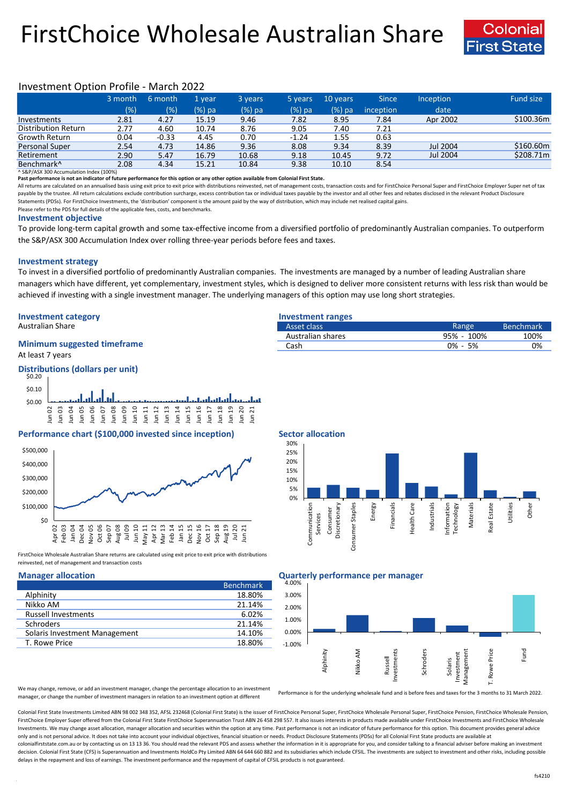# FirstChoice Wholesale Australian Share



## Investment Option Profile - March 2022

|                        | 3 month | 6 month | 1 vear | 3 years | 5 years | 10 years | Since            | <b>Inception</b> | Fund size |
|------------------------|---------|---------|--------|---------|---------|----------|------------------|------------------|-----------|
|                        | (% )    | (%)     | (%) pa | (%) pa  | (%) pa  | (%) pa   | <i>inception</i> | date             |           |
| Investments            | 2.81    | 4.27    | 15.19  | 9.46    | 7.82    | 8.95     | 7.84             | Apr 2002         | \$100.36m |
| Distribution Return    | 2.77    | 4.60    | 10.74  | 8.76    | 9.05    | 7.40     | 7.21             |                  |           |
| Growth Return          | 0.04    | $-0.33$ | 4.45   | 0.70    | $-1.24$ | 1.55     | 0.63             |                  |           |
| Personal Super         | 2.54    | 4.73    | 14.86  | 9.36    | 8.08    | 9.34     | 8.39             | Jul 2004         | \$160.60m |
| Retirement             | 2.90    | 5.47    | 16.79  | 10.68   | 9.18    | 10.45    | 9.72             | Jul 2004         | \$208.71m |
| Benchmark <sup>^</sup> | 2.08    | 4.34    | 15.21  | 10.84   | 9.38    | 10.10    | 8.54             |                  |           |

^ S&P/ASX 300 Accumulation Index (100%)

**Past performance is not an indicator of future performance for this option or any other option available from Colonial First State.**

All returns are calculated on an annualised basis using exit price to exit price with distributions reinvested, net of management costs, transaction costs and for FirstChoice Personal Super and FirstChoice Employer Super n payable by the trustee. All return calculations exclude contribution surcharge, excess contribution tax or individual taxes payable by the investor and all other fees and rebates disclosed in the relevant Product Disclosur Statements (PDSs). For FirstChoice Investments, the 'distribution' component is the amount paid by the way of distribution, which may include net realised capital gains.

Please refer to the PDS for full details of the applicable fees, costs, and benchmarks.

### **Investment objective**

To provide long-term capital growth and some tax-effective income from a diversified portfolio of predominantly Australian companies. To outperform the S&P/ASX 300 Accumulation Index over rolling three-year periods before fees and taxes.

## **Investment strategy**

To invest in a diversified portfolio of predominantly Australian companies. The investments are managed by a number of leading Australian share managers which have different, yet complementary, investment styles, which is designed to deliver more consistent returns with less risk than would be achieved if investing with a single investment manager. The underlying managers of this option may use long short strategies.

## **Investment category Investment ranges**

## **Minimum suggested timeframe**

At least 7 years

### **Distributions (dollars per unit)** \$0.20



## **Performance chart (\$100,000 invested since inception) Sector allocation**



FirstChoice Wholesale Australian Share returns are calculated using exit price to exit price with distributions reinvested, net of management and transaction costs

|                               | <b>Benchmark</b> |
|-------------------------------|------------------|
| Alphinity                     | 18.80%           |
| Nikko AM                      | 21.14%           |
| <b>Russell Investments</b>    | 6.02%            |
| <b>Schroders</b>              | 21.14%           |
| Solaris Investment Management | 14.10%           |
| T. Rowe Price                 | 18.80%           |

| Australian Share                   | Asset class       | Range         | Benchmark <sup>1</sup> |
|------------------------------------|-------------------|---------------|------------------------|
|                                    | Australian shares | 95% - 100%    | 100%                   |
| <b>Minimum suggested timeframe</b> | Cash              | 5%<br>$0\% -$ | 0%                     |
|                                    |                   |               |                        |



## **Manager allocation Quarterly performance per manager**



We may change, remove, or add an investment manager, change the percentage allocation to an investment manager, or change the number of investment managers in relation to an investment option at different

Performance is for the underlying wholesale fund and is before fees and taxes for the 3 months to 31 March 2022.

Colonial First State Investments Limited ABN 98 002 348 352, AFSL 232468 (Colonial First State) is the issuer of FirstChoice Personal Super, FirstChoice Wholesale Personal Super, FirstChoice Personal Super, FirstChoice Who FirstChoice Employer Super offered from the Colonial First State FirstChoice Superannuation Trust ABN 26 458 298 557. It also issues interests in products made available under FirstChoice Investments and FirstChoice Wholes Investments. We may change asset allocation, manager allocation and securities within the option at any time. Past performance is not an indicator of future performance for this option. This document provides general advic only and is not personal advice. It does not take into account your individual objectives, financial situation or needs. Product Disclosure Statements (PDSs) for all Colonial First State products are available at colonialfirststate.com.au or by contacting us on 13 13 36. You should read the relevant PDS and assess whether the information in it is appropriate for you, and consider talking to a financial adviser before making an inve decision. Colonial First State (CFS) is Superannuation and Investments HoldCo Pty Limited ABN 64 644 660 882 and its subsidiaries which include CFSIL. The investments are subject to investment and other risks, including po delays in the repayment and loss of earnings. The investment performance and the repayment of capital of CFSIL products is not guaranteed.